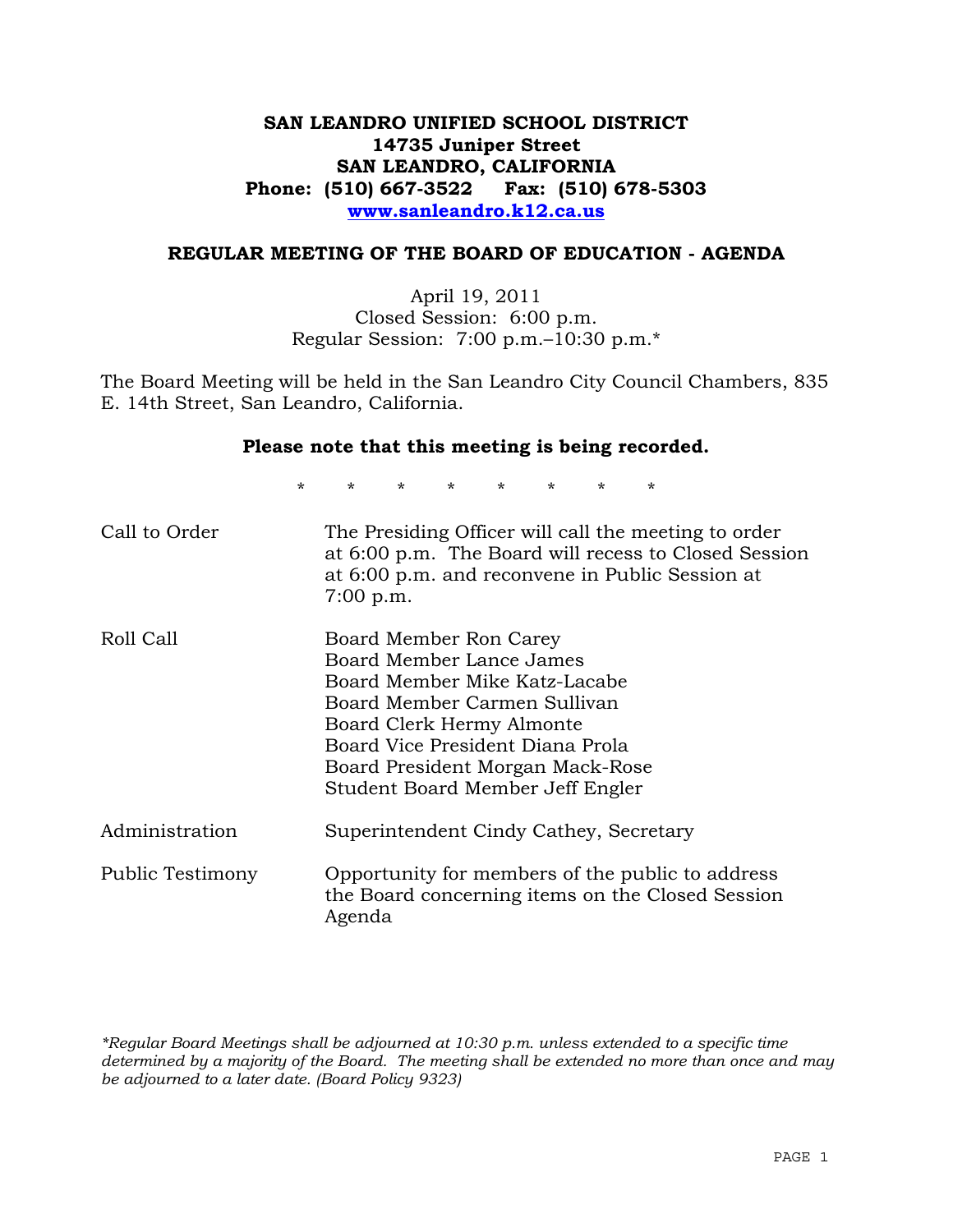# **SAN LEANDRO UNIFIED SCHOOL DISTRICT 14735 Juniper Street SAN LEANDRO, CALIFORNIA Phone: (510) 667-3522 Fax: (510) 678-5303 www.sanleandro.k12.ca.us**

### **REGULAR MEETING OF THE BOARD OF EDUCATION - AGENDA**

April 19, 2011 Closed Session: 6:00 p.m. Regular Session: 7:00 p.m.–10:30 p.m.\*

The Board Meeting will be held in the San Leandro City Council Chambers, 835 E. 14th Street, San Leandro, California.

#### **Please note that this meeting is being recorded.**

\* \* \* \* \* \* \* \*

| Call to Order    | The Presiding Officer will call the meeting to order<br>at 6:00 p.m. The Board will recess to Closed Session<br>at 6:00 p.m. and reconvene in Public Session at<br>$7:00$ p.m.                                                                               |
|------------------|--------------------------------------------------------------------------------------------------------------------------------------------------------------------------------------------------------------------------------------------------------------|
| Roll Call        | Board Member Ron Carey<br>Board Member Lance James<br>Board Member Mike Katz-Lacabe<br>Board Member Carmen Sullivan<br>Board Clerk Hermy Almonte<br>Board Vice President Diana Prola<br>Board President Morgan Mack-Rose<br>Student Board Member Jeff Engler |
| Administration   | Superintendent Cindy Cathey, Secretary                                                                                                                                                                                                                       |
| Public Testimony | Opportunity for members of the public to address<br>the Board concerning items on the Closed Session<br>Agenda                                                                                                                                               |

*\*Regular Board Meetings shall be adjourned at 10:30 p.m. unless extended to a specific time determined by a majority of the Board. The meeting shall be extended no more than once and may be adjourned to a later date. (Board Policy 9323)*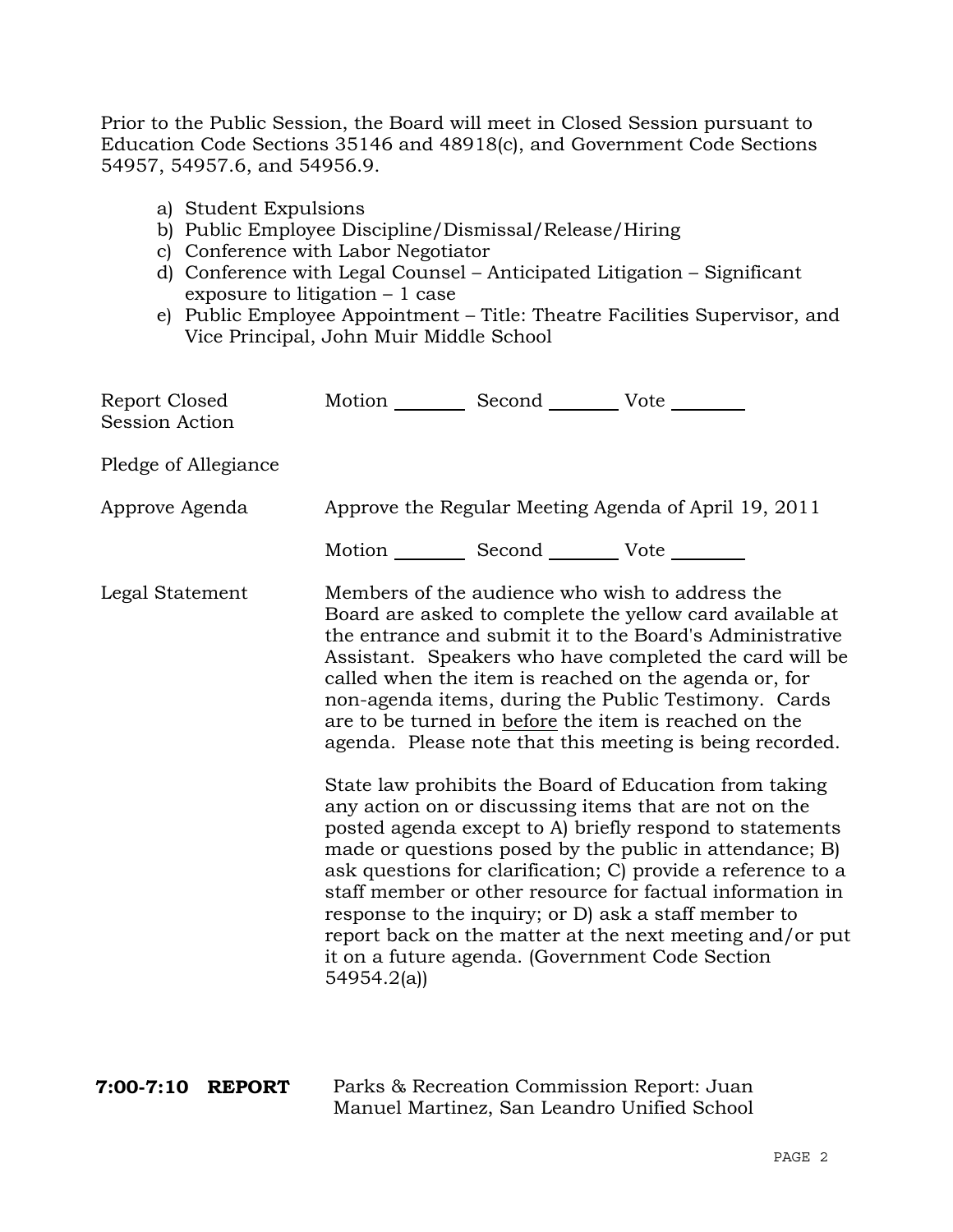Prior to the Public Session, the Board will meet in Closed Session pursuant to Education Code Sections 35146 and 48918(c), and Government Code Sections 54957, 54957.6, and 54956.9.

- a) Student Expulsions
- b) Public Employee Discipline/Dismissal/Release/Hiring
- c) Conference with Labor Negotiator
- d) Conference with Legal Counsel Anticipated Litigation Significant exposure to litigation – 1 case
- e) Public Employee Appointment Title: Theatre Facilities Supervisor, and Vice Principal, John Muir Middle School

| Report Closed<br><b>Session Action</b> | Motion __________ Second __________ Vote ________ |                                                                                           |                                                                                                                                                                                                                                                                                                                                                                                                                                                                                                                                            |
|----------------------------------------|---------------------------------------------------|-------------------------------------------------------------------------------------------|--------------------------------------------------------------------------------------------------------------------------------------------------------------------------------------------------------------------------------------------------------------------------------------------------------------------------------------------------------------------------------------------------------------------------------------------------------------------------------------------------------------------------------------------|
| Pledge of Allegiance                   |                                                   |                                                                                           |                                                                                                                                                                                                                                                                                                                                                                                                                                                                                                                                            |
| Approve Agenda                         |                                                   |                                                                                           | Approve the Regular Meeting Agenda of April 19, 2011                                                                                                                                                                                                                                                                                                                                                                                                                                                                                       |
|                                        | Motion __________ Second __________ Vote ________ |                                                                                           |                                                                                                                                                                                                                                                                                                                                                                                                                                                                                                                                            |
| Legal Statement                        |                                                   |                                                                                           | Members of the audience who wish to address the<br>Board are asked to complete the yellow card available at<br>the entrance and submit it to the Board's Administrative<br>Assistant. Speakers who have completed the card will be<br>called when the item is reached on the agenda or, for<br>non-agenda items, during the Public Testimony. Cards<br>are to be turned in before the item is reached on the<br>agenda. Please note that this meeting is being recorded.                                                                   |
|                                        | 54954.2(a)                                        |                                                                                           | State law prohibits the Board of Education from taking<br>any action on or discussing items that are not on the<br>posted agenda except to A) briefly respond to statements<br>made or questions posed by the public in attendance; B)<br>ask questions for clarification; C) provide a reference to a<br>staff member or other resource for factual information in<br>response to the inquiry; or D) ask a staff member to<br>report back on the matter at the next meeting and/or put<br>it on a future agenda. (Government Code Section |
| 7:00-7:10 REPORT                       |                                                   | Parks & Recreation Commission Report: Juan<br>Manuel Martinez, San Leandro Unified School |                                                                                                                                                                                                                                                                                                                                                                                                                                                                                                                                            |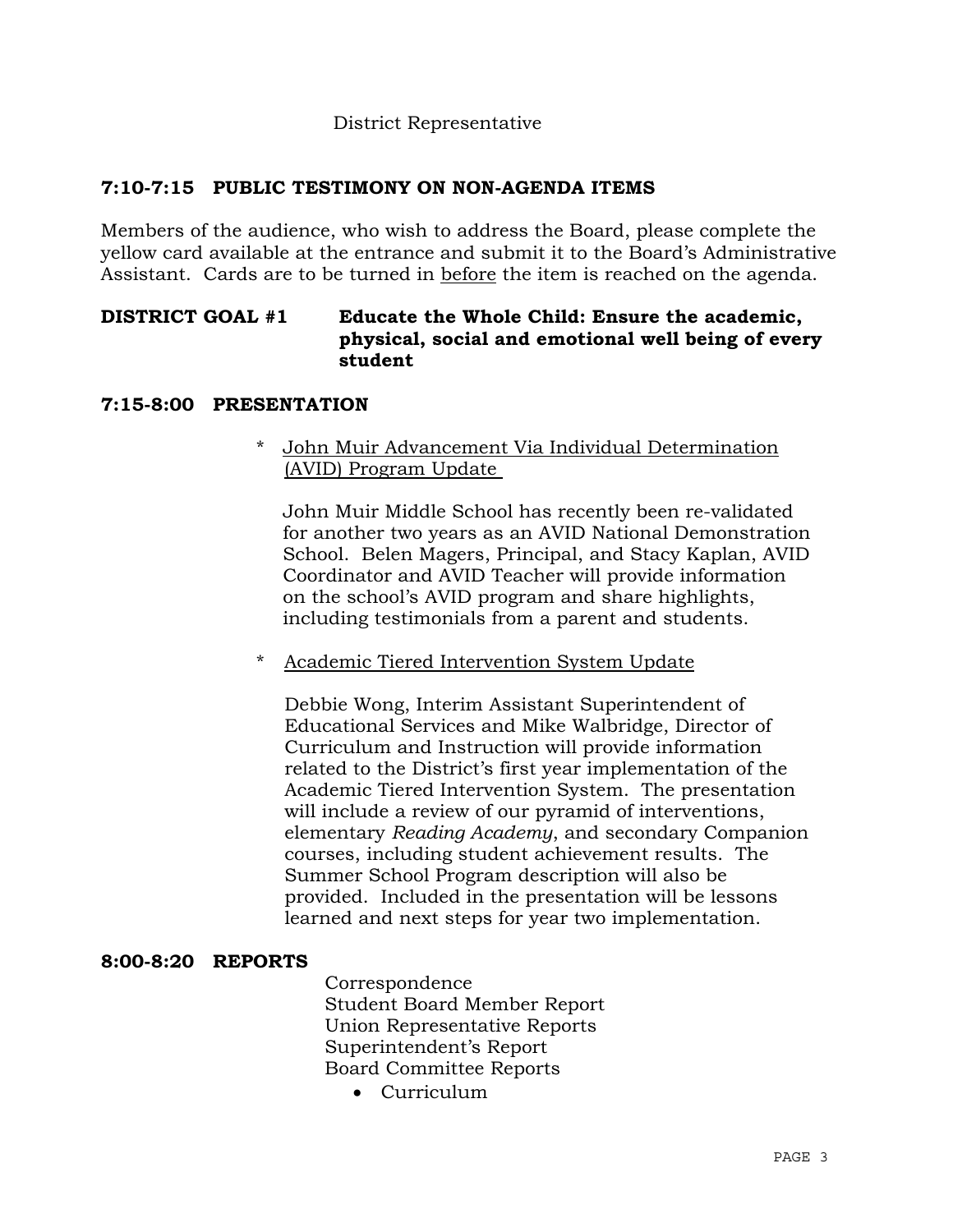### District Representative

# **7:10-7:15 PUBLIC TESTIMONY ON NON-AGENDA ITEMS**

Members of the audience, who wish to address the Board, please complete the yellow card available at the entrance and submit it to the Board's Administrative Assistant. Cards are to be turned in before the item is reached on the agenda.

# **DISTRICT GOAL #1 Educate the Whole Child: Ensure the academic, physical, social and emotional well being of every student**

#### **7:15-8:00 PRESENTATION**

### \* John Muir Advancement Via Individual Determination (AVID) Program Update

 John Muir Middle School has recently been re-validated for another two years as an AVID National Demonstration School. Belen Magers, Principal, and Stacy Kaplan, AVID Coordinator and AVID Teacher will provide information on the school's AVID program and share highlights, including testimonials from a parent and students.

### \* Academic Tiered Intervention System Update

Debbie Wong, Interim Assistant Superintendent of Educational Services and Mike Walbridge, Director of Curriculum and Instruction will provide information related to the District's first year implementation of the Academic Tiered Intervention System. The presentation will include a review of our pyramid of interventions, elementary *Reading Academy*, and secondary Companion courses, including student achievement results. The Summer School Program description will also be provided. Included in the presentation will be lessons learned and next steps for year two implementation.

# **8:00-8:20 REPORTS**

 Correspondence Student Board Member Report Union Representative Reports Superintendent's Report Board Committee Reports

Curriculum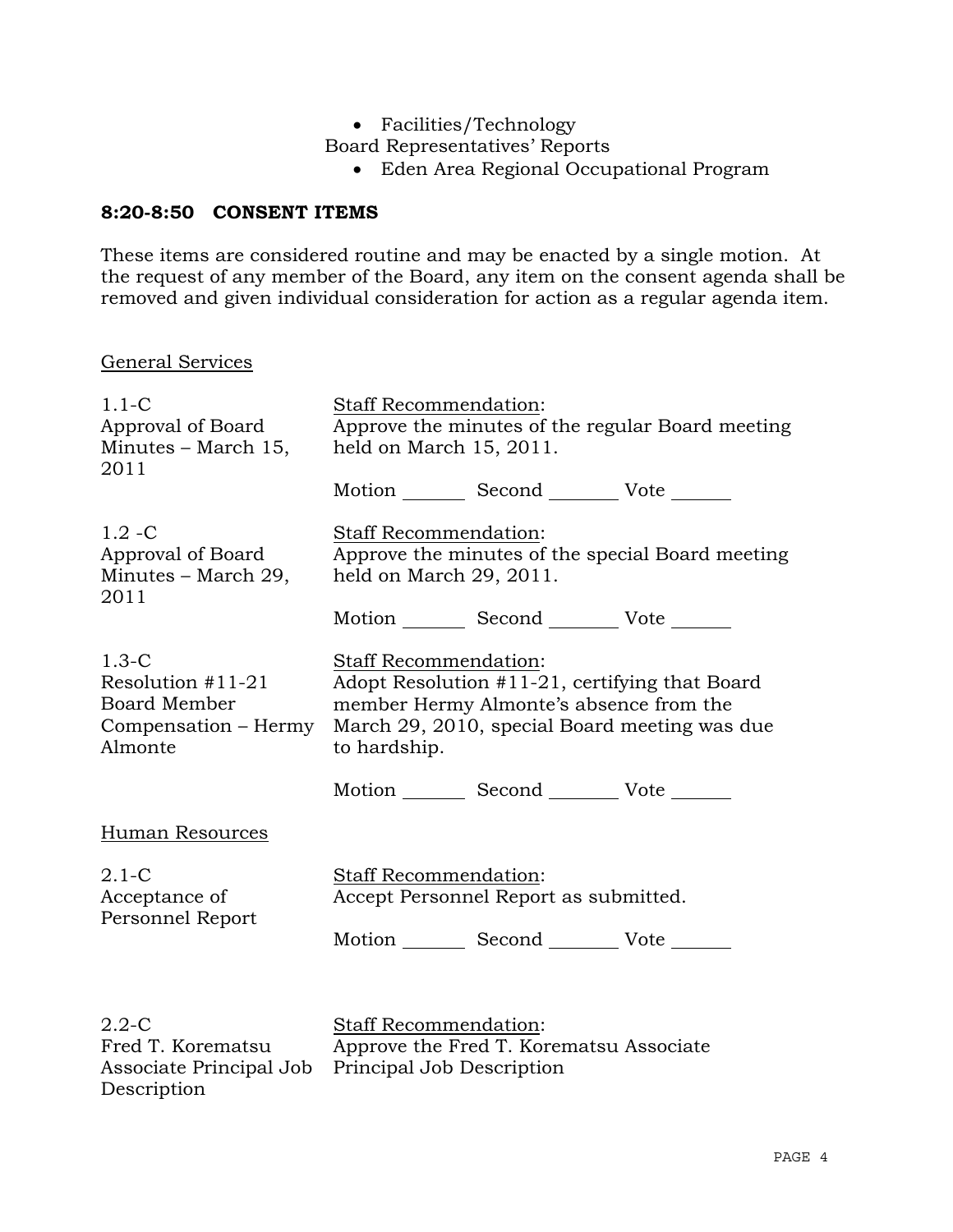Facilities/Technology

Board Representatives' Reports

Eden Area Regional Occupational Program

# **8:20-8:50 CONSENT ITEMS**

These items are considered routine and may be enacted by a single motion. At the request of any member of the Board, any item on the consent agenda shall be removed and given individual consideration for action as a regular agenda item.

### General Services

| $1.1 - C$<br>Approval of Board<br>Minutes – March 15,<br>2011                            | Staff Recommendation:<br>Approve the minutes of the regular Board meeting<br>held on March 15, 2011.                                                                                                                                   |  |  |
|------------------------------------------------------------------------------------------|----------------------------------------------------------------------------------------------------------------------------------------------------------------------------------------------------------------------------------------|--|--|
|                                                                                          | Motion _________ Second __________ Vote _______                                                                                                                                                                                        |  |  |
| $1.2 - C$<br>Approval of Board<br>Minutes – March 29,<br>2011                            | Staff Recommendation:<br>Approve the minutes of the special Board meeting<br>held on March 29, 2011.                                                                                                                                   |  |  |
|                                                                                          | Motion Second Vote                                                                                                                                                                                                                     |  |  |
| $1.3-C$<br>Resolution $#11-21$<br><b>Board Member</b><br>Compensation – Hermy<br>Almonte | Staff Recommendation:<br>Adopt Resolution #11-21, certifying that Board<br>member Hermy Almonte's absence from the<br>March 29, 2010, special Board meeting was due<br>to hardship.<br>Motion _________ Second __________ Vote _______ |  |  |
| Human Resources                                                                          |                                                                                                                                                                                                                                        |  |  |
| $2.1-C$<br>Acceptance of<br>Personnel Report                                             | <b>Staff Recommendation:</b><br>Accept Personnel Report as submitted.<br>Motion _________ Second __________ Vote _______                                                                                                               |  |  |
| $2.2 - C$<br>Fred T. Korematsu<br>Associate Principal Job<br>Description                 | Staff Recommendation:<br>Approve the Fred T. Korematsu Associate<br>Principal Job Description                                                                                                                                          |  |  |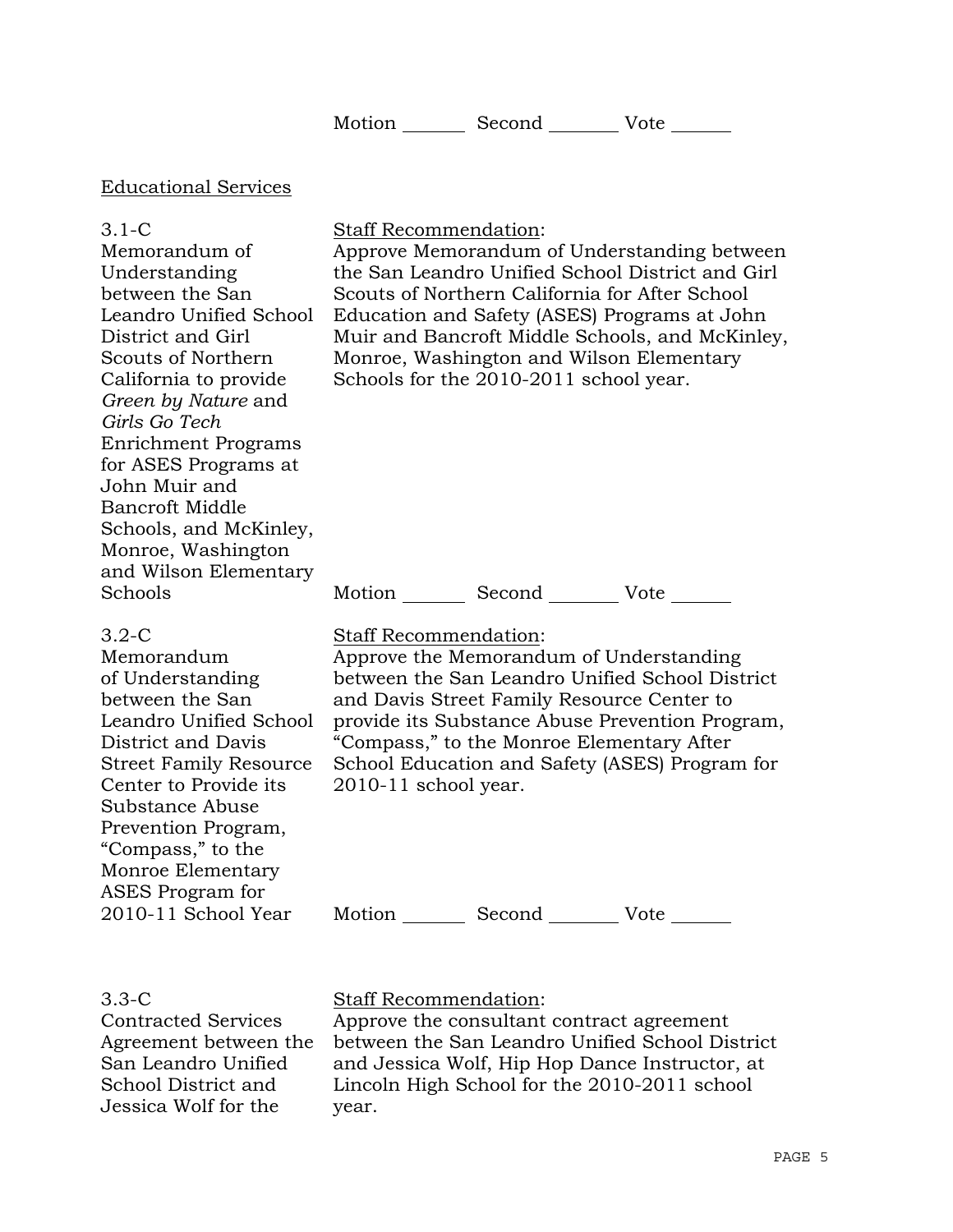| Motion<br>Vote<br>Second |  |
|--------------------------|--|
|--------------------------|--|

### Educational Services

#### 3.1-C

Memorandum of Understanding between the San Leandro Unified School District and Girl Scouts of Northern California to provide *Green by Nature* and *Girls Go Tech*  Enrichment Programs for ASES Programs at John Muir and Bancroft Middle Schools, and McKinley, Monroe, Washington and Wilson Elementary Schools

#### Staff Recommendation:

Approve Memorandum of Understanding between the San Leandro Unified School District and Girl Scouts of Northern California for After School Education and Safety (ASES) Programs at John Muir and Bancroft Middle Schools, and McKinley, Monroe, Washington and Wilson Elementary Schools for the 2010-2011 school year.

Motion Second Vote \_\_\_\_\_\_\_

#### 3.2-C

Memorandum of Understanding between the San Leandro Unified School District and Davis Street Family Resource Center to Provide its Substance Abuse Prevention Program, "Compass," to the Monroe Elementary ASES Program for 2010-11 School Year

Staff Recommendation:

Approve the Memorandum of Understanding between the San Leandro Unified School District and Davis Street Family Resource Center to provide its Substance Abuse Prevention Program, "Compass," to the Monroe Elementary After School Education and Safety (ASES) Program for 2010-11 school year.

Motion Second Vote

#### 3.3-C

Contracted Services Agreement between the San Leandro Unified School District and Jessica Wolf for the

### Staff Recommendation:

Approve the consultant contract agreement between the San Leandro Unified School District and Jessica Wolf, Hip Hop Dance Instructor, at Lincoln High School for the 2010-2011 school year.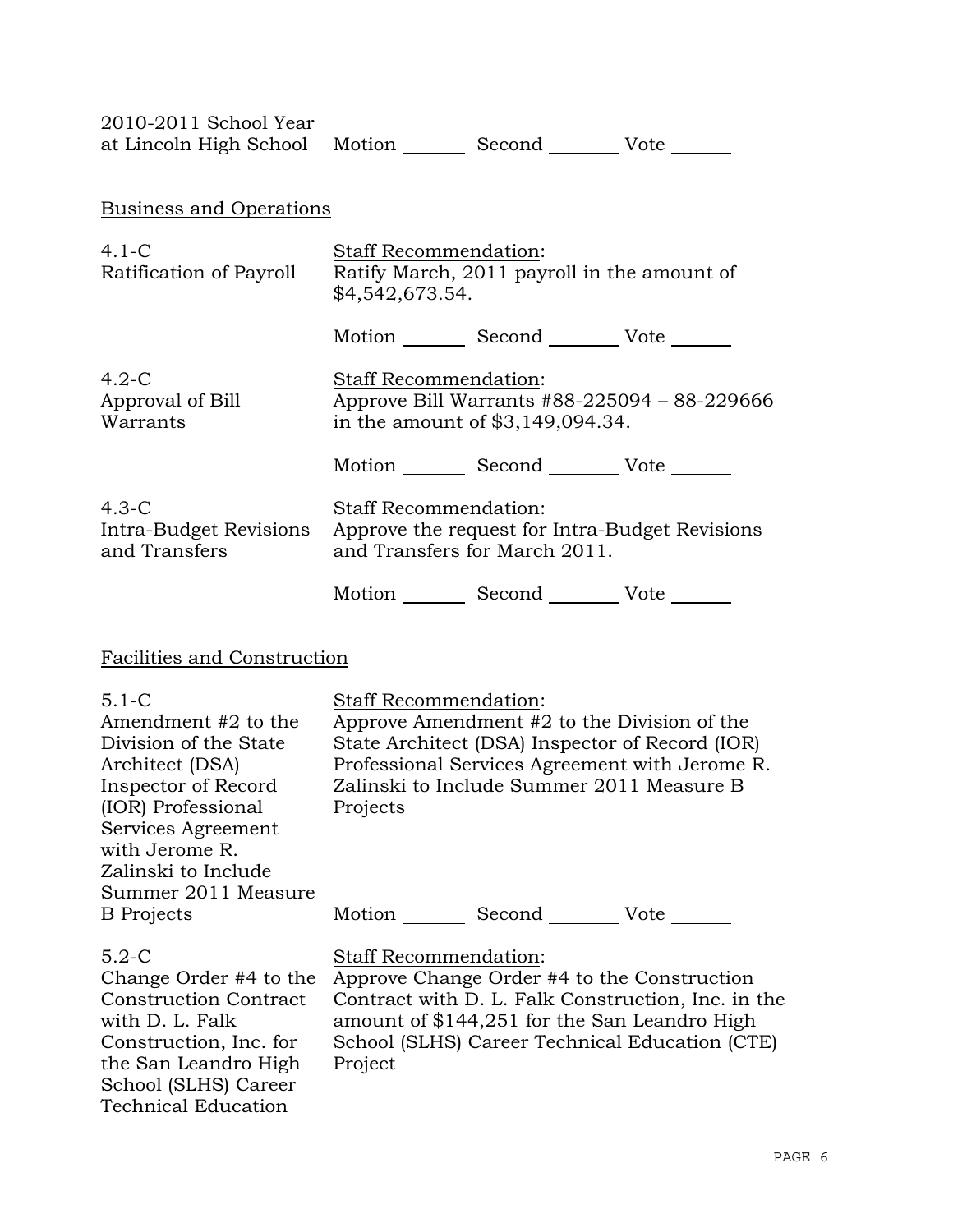| 2010-2011 School Year<br>at Lincoln High School Motion _________ Second _________ Vote _______      |                                                                                                                                                                                                                        |                                                 |                                                |  |  |  |
|-----------------------------------------------------------------------------------------------------|------------------------------------------------------------------------------------------------------------------------------------------------------------------------------------------------------------------------|-------------------------------------------------|------------------------------------------------|--|--|--|
| <b>Business and Operations</b>                                                                      |                                                                                                                                                                                                                        |                                                 |                                                |  |  |  |
| $4.1-C$<br>Ratification of Payroll                                                                  | <b>Staff Recommendation:</b><br>Ratify March, 2011 payroll in the amount of<br>\$4,542,673.54.                                                                                                                         |                                                 |                                                |  |  |  |
|                                                                                                     |                                                                                                                                                                                                                        | Motion _________ Second __________ Vote _______ |                                                |  |  |  |
| $4.2-C$<br>Approval of Bill<br>Warrants                                                             | Staff Recommendation:                                                                                                                                                                                                  | in the amount of \$3,149,094.34.                | Approve Bill Warrants #88-225094 - 88-229666   |  |  |  |
|                                                                                                     |                                                                                                                                                                                                                        | Motion _________ Second _________ Vote _______  |                                                |  |  |  |
| $4.3-C$<br>Intra-Budget Revisions<br>and Transfers                                                  | <b>Staff Recommendation:</b>                                                                                                                                                                                           | and Transfers for March 2011.                   | Approve the request for Intra-Budget Revisions |  |  |  |
|                                                                                                     |                                                                                                                                                                                                                        | Motion _________ Second _________ Vote _______  |                                                |  |  |  |
| Facilities and Construction                                                                         |                                                                                                                                                                                                                        |                                                 |                                                |  |  |  |
| $5.1 - C$<br>Amendment #2 to the<br>Division of the State<br>Architect (DSA)<br>Inspector of Record | Staff Recommendation:<br>Approve Amendment #2 to the Division of the<br>State Architect (DSA) Inspector of Record (IOR)<br>Professional Services Agreement with Jerome R.<br>Zalinski to Include Summer 2011 Measure B |                                                 |                                                |  |  |  |

| $5.1 - C$<br>Amendment #2 to the<br>Division of the State<br>Architect (DSA)<br>Inspector of Record<br>(IOR) Professional<br>Services Agreement<br>with Jerome R.<br>Zalinski to Include<br>Summer 2011 Measure | Staff Recommendation:<br>Approve Amendment #2 to the Division of the<br>State Architect (DSA) Inspector of Record (IOR)<br>Professional Services Agreement with Jerome R.<br>Zalinski to Include Summer 2011 Measure B<br>Projects             |  |  |  |  |
|-----------------------------------------------------------------------------------------------------------------------------------------------------------------------------------------------------------------|------------------------------------------------------------------------------------------------------------------------------------------------------------------------------------------------------------------------------------------------|--|--|--|--|
| <b>B</b> Projects                                                                                                                                                                                               | Motion _________ Second __________ Vote _______                                                                                                                                                                                                |  |  |  |  |
| $5.2-C$<br>Change Order #4 to the<br><b>Construction Contract</b><br>with D. L. Falk<br>Construction, Inc. for<br>the San Leandro High<br>School (SLHS) Career<br><b>Technical Education</b>                    | <b>Staff Recommendation:</b><br>Approve Change Order #4 to the Construction<br>Contract with D. L. Falk Construction, Inc. in the<br>amount of \$144,251 for the San Leandro High<br>School (SLHS) Career Technical Education (CTE)<br>Project |  |  |  |  |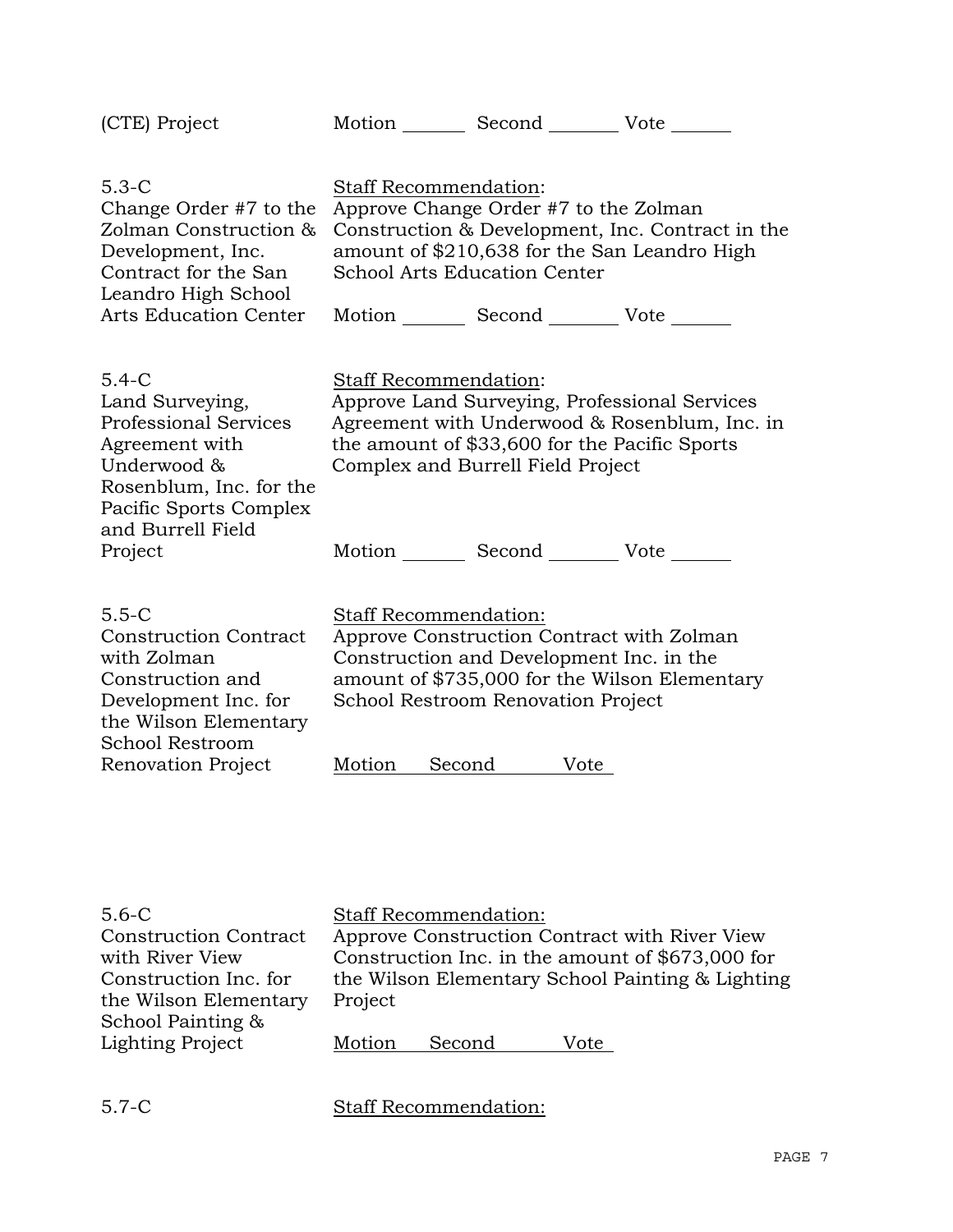| (CTE) Project                                                                                                                                                                    | Motion _________ Second __________ Vote                                                                                                                                                                                                    |
|----------------------------------------------------------------------------------------------------------------------------------------------------------------------------------|--------------------------------------------------------------------------------------------------------------------------------------------------------------------------------------------------------------------------------------------|
| $5.3-C$<br>Change Order #7 to the<br>Zolman Construction &<br>Development, Inc.<br>Contract for the San<br>Leandro High School<br><b>Arts Education Center</b>                   | Staff Recommendation:<br>Approve Change Order #7 to the Zolman<br>Construction & Development, Inc. Contract in the<br>amount of \$210,638 for the San Leandro High<br><b>School Arts Education Center</b><br>Motion Second Vote            |
| $5.4-C$<br>Land Surveying,<br><b>Professional Services</b><br>Agreement with<br>Underwood &<br>Rosenblum, Inc. for the<br>Pacific Sports Complex<br>and Burrell Field<br>Project | <b>Staff Recommendation:</b><br>Approve Land Surveying, Professional Services<br>Agreement with Underwood & Rosenblum, Inc. in<br>the amount of \$33,600 for the Pacific Sports<br>Complex and Burrell Field Project<br>Motion Second Vote |
| $5.5 - C$<br><b>Construction Contract</b><br>with Zolman<br>Construction and<br>Development Inc. for<br>the Wilson Elementary<br>School Restroom<br>Renovation Project           | Staff Recommendation:<br>Approve Construction Contract with Zolman<br>Construction and Development Inc. in the<br>amount of \$735,000 for the Wilson Elementary<br>School Restroom Renovation Project<br>Second<br>Motion<br>Vote          |

| $5.6 - C$                    |                                                  | <b>Staff Recommendation:</b> |      |  |
|------------------------------|--------------------------------------------------|------------------------------|------|--|
| <b>Construction Contract</b> | Approve Construction Contract with River View    |                              |      |  |
| with River View              | Construction Inc. in the amount of \$673,000 for |                              |      |  |
| Construction Inc. for        | the Wilson Elementary School Painting & Lighting |                              |      |  |
| the Wilson Elementary        | Project                                          |                              |      |  |
| School Painting &            |                                                  |                              |      |  |
| <b>Lighting Project</b>      | Motion                                           | Second                       | Vote |  |
|                              |                                                  |                              |      |  |

5.7-C Staff Recommendation: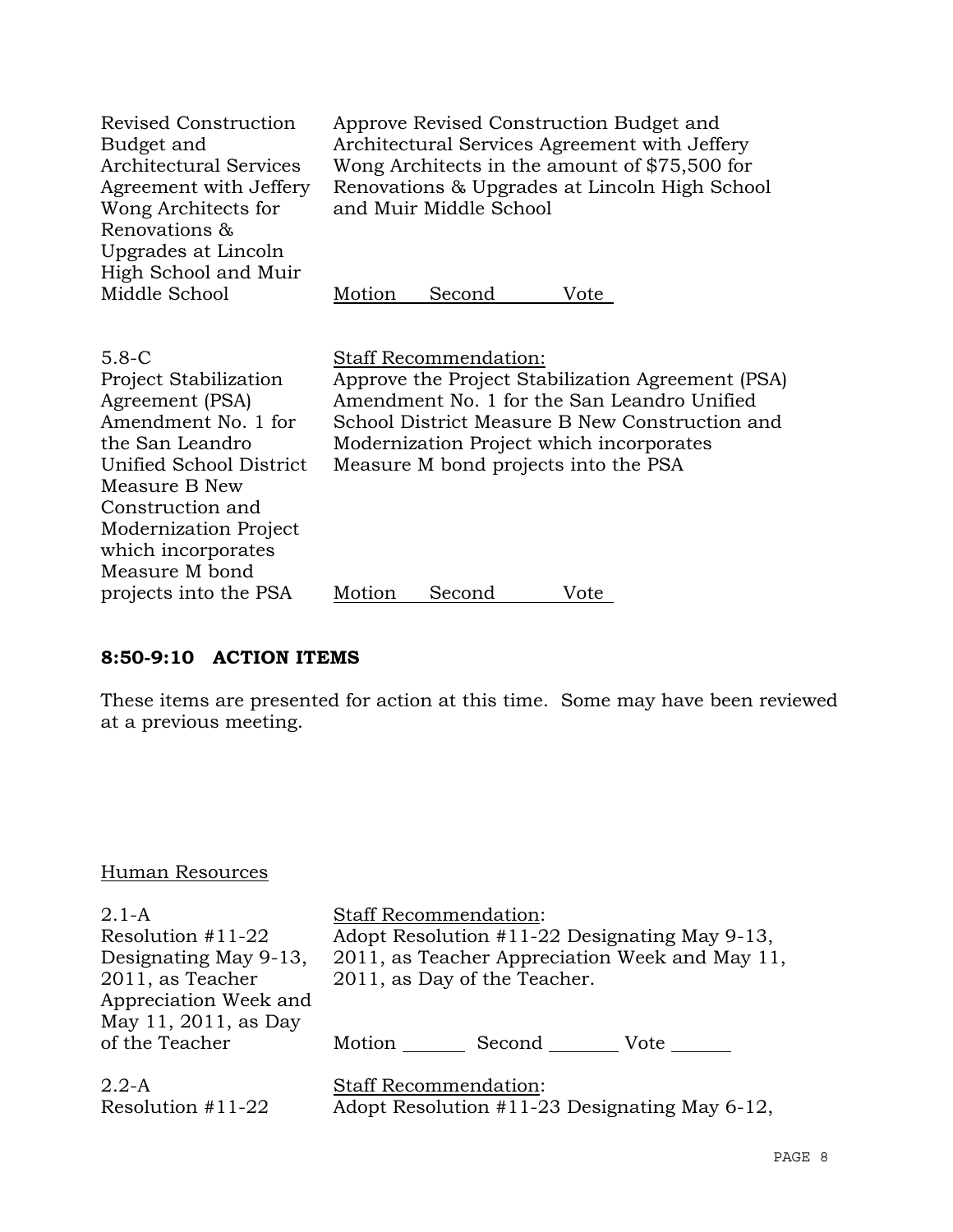| Revised Construction<br>Budget and<br>Architectural Services<br>Agreement with Jeffery<br>Wong Architects for<br>Renovations &<br>Upgrades at Lincoln<br>High School and Muir                                                           | Approve Revised Construction Budget and<br>Architectural Services Agreement with Jeffery<br>Wong Architects in the amount of \$75,500 for<br>Renovations & Upgrades at Lincoln High School<br>and Muir Middle School                                                   |  |  |  |  |
|-----------------------------------------------------------------------------------------------------------------------------------------------------------------------------------------------------------------------------------------|------------------------------------------------------------------------------------------------------------------------------------------------------------------------------------------------------------------------------------------------------------------------|--|--|--|--|
| Middle School                                                                                                                                                                                                                           | Motion<br>Second<br>Vote                                                                                                                                                                                                                                               |  |  |  |  |
| $5.8 - C$<br><b>Project Stabilization</b><br>Agreement (PSA)<br>Amendment No. 1 for<br>the San Leandro<br>Unified School District<br>Measure B New<br>Construction and<br>Modernization Project<br>which incorporates<br>Measure M bond | <b>Staff Recommendation:</b><br>Approve the Project Stabilization Agreement (PSA)<br>Amendment No. 1 for the San Leandro Unified<br>School District Measure B New Construction and<br>Modernization Project which incorporates<br>Measure M bond projects into the PSA |  |  |  |  |
| projects into the PSA                                                                                                                                                                                                                   | Motion<br>Second<br>Vote                                                                                                                                                                                                                                               |  |  |  |  |

# **8:50-9:10 ACTION ITEMS**

These items are presented for action at this time. Some may have been reviewed at a previous meeting.

# Human Resources

| $2.1-A$               | <b>Staff Recommendation:</b>                   |  |  |  |
|-----------------------|------------------------------------------------|--|--|--|
| Resolution $#11-22$   | Adopt Resolution #11-22 Designating May 9-13,  |  |  |  |
| Designating May 9-13, | 2011, as Teacher Appreciation Week and May 11, |  |  |  |
| 2011, as Teacher      | 2011, as Day of the Teacher.                   |  |  |  |
| Appreciation Week and |                                                |  |  |  |
| May 11, 2011, as Day  |                                                |  |  |  |
| of the Teacher        | Motion<br>Second<br>Vote                       |  |  |  |
| $2.2-A$               | <b>Staff Recommendation:</b>                   |  |  |  |
| Resolution $#11-22$   | Adopt Resolution #11-23 Designating May 6-12,  |  |  |  |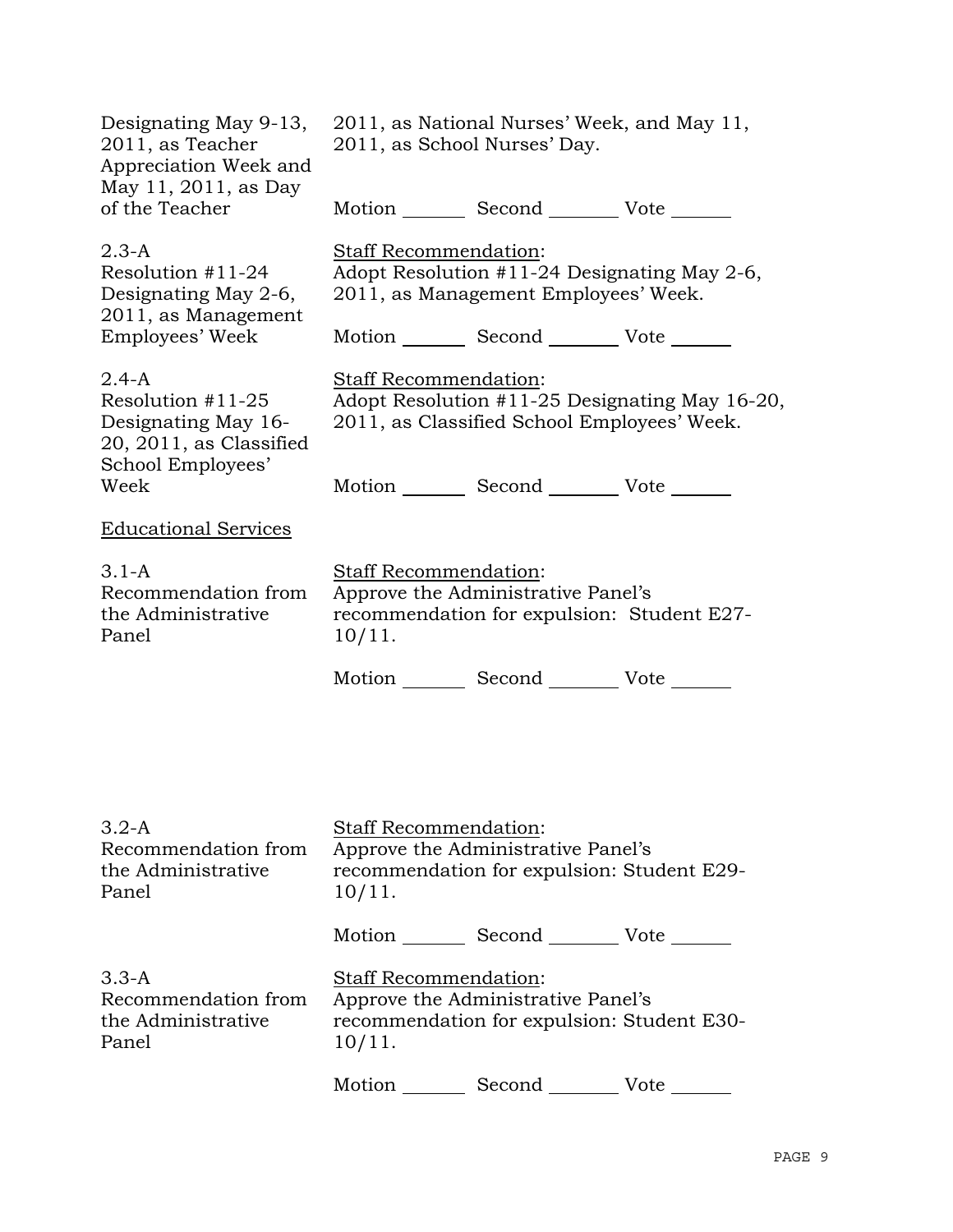| Designating May 9-13,<br>2011, as Teacher<br>Appreciation Week and<br>May 11, 2011, as Day<br>of the Teacher             | 2011, as National Nurses' Week, and May 11,<br>2011, as School Nurses' Day.<br>Motion Second Vote                                                                                |  |  |  |
|--------------------------------------------------------------------------------------------------------------------------|----------------------------------------------------------------------------------------------------------------------------------------------------------------------------------|--|--|--|
| $2.3-A$<br>Resolution $#11-24$<br>Designating May 2-6,<br>2011, as Management                                            | Staff Recommendation:<br>Adopt Resolution #11-24 Designating May 2-6,<br>2011, as Management Employees' Week.                                                                    |  |  |  |
| Employees' Week<br>$2.4 - A$<br>Resolution #11-25<br>Designating May 16-<br>20, 2011, as Classified<br>School Employees' | Motion _________ Second __________ Vote _______<br><b>Staff Recommendation:</b><br>Adopt Resolution #11-25 Designating May 16-20,<br>2011, as Classified School Employees' Week. |  |  |  |
| Week                                                                                                                     | Motion _________ Second __________ Vote _______                                                                                                                                  |  |  |  |
| <b>Educational Services</b>                                                                                              |                                                                                                                                                                                  |  |  |  |
| $3.1-A$<br>Recommendation from<br>the Administrative<br>Panel                                                            | Staff Recommendation:<br>Approve the Administrative Panel's<br>recommendation for expulsion: Student E27-<br>$10/11$ .                                                           |  |  |  |
|                                                                                                                          | Motion _________ Second __________ Vote _______                                                                                                                                  |  |  |  |
| $3.2-A$                                                                                                                  | <b>Staff Recommendation:</b>                                                                                                                                                     |  |  |  |
| Recommendation from<br>the Administrative<br>Panel                                                                       | Approve the Administrative Panel's<br>recommendation for expulsion: Student E29-<br>$10/11$ .                                                                                    |  |  |  |
|                                                                                                                          | Motion _________ Second __________ Vote _______                                                                                                                                  |  |  |  |
| $3.3-A$<br>Recommendation from<br>the Administrative<br>Panel                                                            | Staff Recommendation:<br>Approve the Administrative Panel's<br>recommendation for expulsion: Student E30-<br>$10/11$ .                                                           |  |  |  |
|                                                                                                                          | Motion<br>Second Vote                                                                                                                                                            |  |  |  |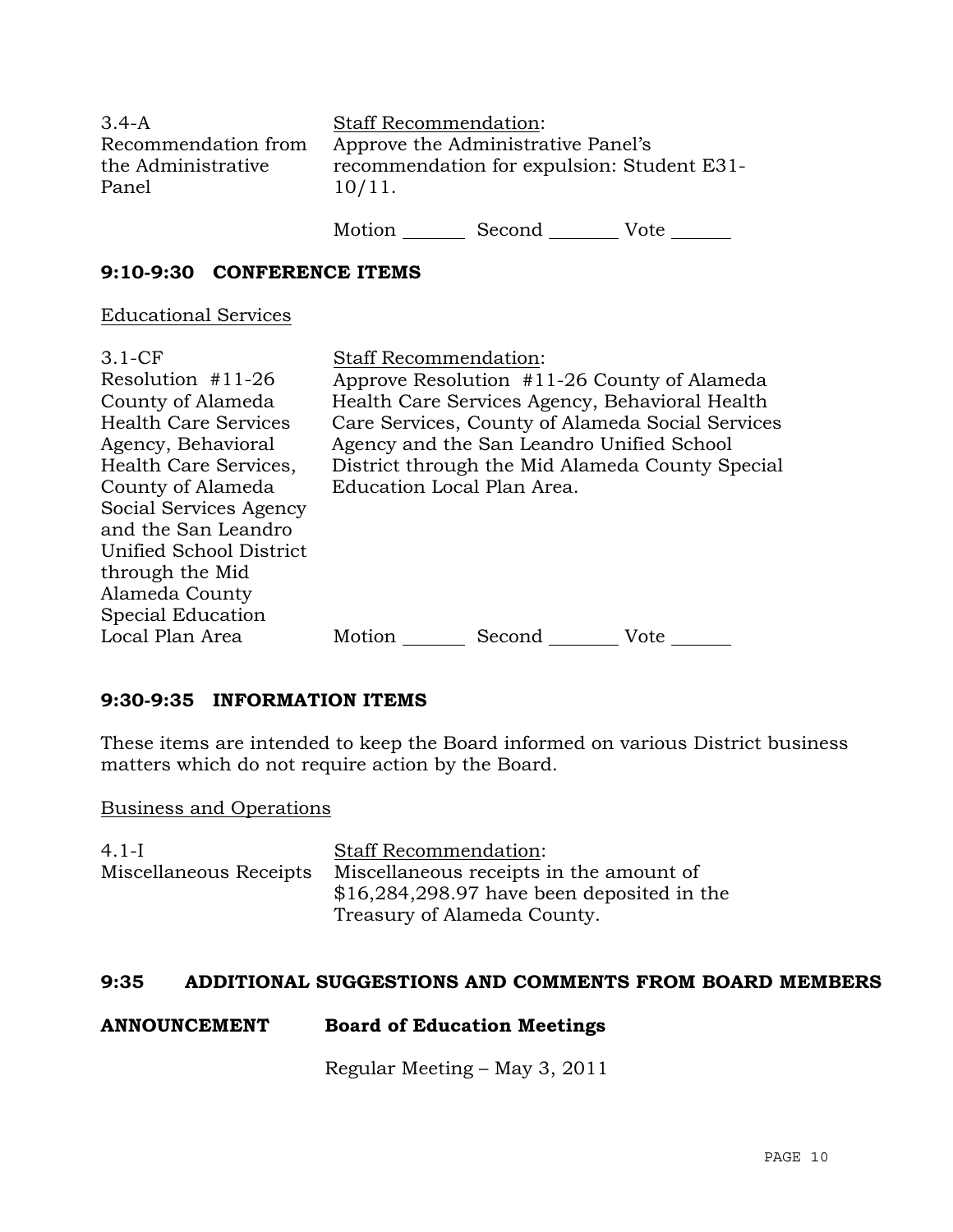| $3.4 - A$<br>Recommendation from<br>the Administrative<br>Panel | <b>Staff Recommendation:</b><br>Approve the Administrative Panel's<br>recommendation for expulsion: Student E31-<br>10/11. |        |      |
|-----------------------------------------------------------------|----------------------------------------------------------------------------------------------------------------------------|--------|------|
|                                                                 | Motion                                                                                                                     | Second | Vote |

**9:10-9:30 CONFERENCE ITEMS** 

Educational Services

| $3.1-CF$                    | <b>Staff Recommendation:</b>                     |                            |                                             |
|-----------------------------|--------------------------------------------------|----------------------------|---------------------------------------------|
| Resolution $#11-26$         |                                                  |                            | Approve Resolution #11-26 County of Alameda |
| County of Alameda           | Health Care Services Agency, Behavioral Health   |                            |                                             |
| <b>Health Care Services</b> | Care Services, County of Alameda Social Services |                            |                                             |
| Agency, Behavioral          | Agency and the San Leandro Unified School        |                            |                                             |
| Health Care Services,       | District through the Mid Alameda County Special  |                            |                                             |
| County of Alameda           |                                                  | Education Local Plan Area. |                                             |
| Social Services Agency      |                                                  |                            |                                             |
| and the San Leandro         |                                                  |                            |                                             |
| Unified School District     |                                                  |                            |                                             |
| through the Mid             |                                                  |                            |                                             |
| Alameda County              |                                                  |                            |                                             |
| Special Education           |                                                  |                            |                                             |
| Local Plan Area             | Motion                                           | Second                     | Vote                                        |

# **9:30-9:35 INFORMATION ITEMS**

These items are intended to keep the Board informed on various District business matters which do not require action by the Board.

Business and Operations

| 4.1-L                  | <b>Staff Recommendation:</b>                |
|------------------------|---------------------------------------------|
| Miscellaneous Receipts | Miscellaneous receipts in the amount of     |
|                        | $$16,284,298.97$ have been deposited in the |
|                        | Treasury of Alameda County.                 |

### **9:35 ADDITIONAL SUGGESTIONS AND COMMENTS FROM BOARD MEMBERS**

# **ANNOUNCEMENT Board of Education Meetings**

Regular Meeting – May 3, 2011